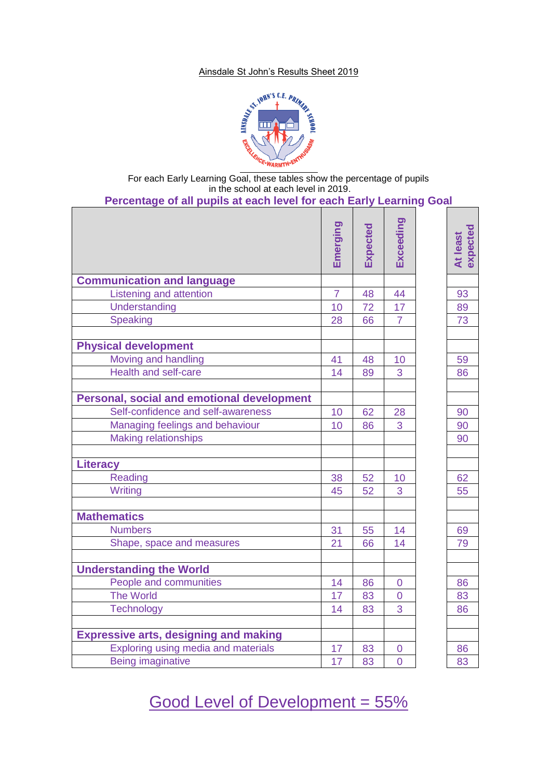#### Ainsdale St John's Results Sheet 2019



For each Early Learning Goal, these tables show the percentage of pupils in the school at each level in 2019.

|                                              | Emerging       | Expected | Exceeding      | expected<br>At least |
|----------------------------------------------|----------------|----------|----------------|----------------------|
|                                              |                |          |                |                      |
| <b>Communication and language</b>            |                |          |                |                      |
| Listening and attention                      | $\overline{7}$ | 48       | 44             | 93                   |
| Understanding                                | 10             | 72       | 17             | 89                   |
| <b>Speaking</b>                              | 28             | 66       | $\overline{7}$ | 73                   |
|                                              |                |          |                |                      |
| <b>Physical development</b>                  |                |          |                |                      |
| Moving and handling                          | 41             | 48       | 10             | 59                   |
| <b>Health and self-care</b>                  | 14             | 89       | 3              | 86                   |
| Personal, social and emotional development   |                |          |                |                      |
| Self-confidence and self-awareness           | 10             | 62       | 28             | 90                   |
| Managing feelings and behaviour              | 10             | 86       | 3              | 90                   |
| <b>Making relationships</b>                  |                |          |                | 90                   |
|                                              |                |          |                |                      |
| <b>Literacy</b>                              |                |          |                |                      |
| <b>Reading</b>                               | 38             | 52       | 10             | 62                   |
| Writing                                      | 45             | 52       | 3              | 55                   |
|                                              |                |          |                |                      |
| <b>Mathematics</b>                           |                |          |                |                      |
| <b>Numbers</b>                               | 31             | 55       | 14             | 69                   |
| Shape, space and measures                    | 21             | 66       | 14             | 79                   |
| <b>Understanding the World</b>               |                |          |                |                      |
| People and communities                       | 14             | 86       | $\overline{0}$ | 86                   |
| The World                                    | 17             | 83       | $\overline{0}$ | 83                   |
| <b>Technology</b>                            | 14             | 83       | 3              | 86                   |
|                                              |                |          |                |                      |
| <b>Expressive arts, designing and making</b> |                |          |                |                      |
| Exploring using media and materials          | 17             | 83       | $\overline{0}$ | 86                   |
| <b>Being imaginative</b>                     | 17             | 83       | $\overline{0}$ | 83                   |

Good Level of Development = 55%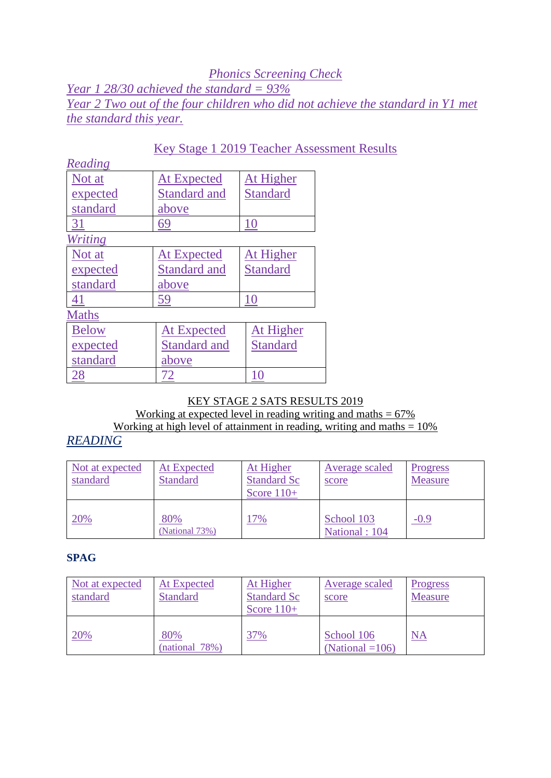### *Phonics Screening Check Year 1 28/30 achieved the standard = 93% Year 2 Two out of the four children who did not achieve the standard in Y1 met the standard this year.*

| Reading        |                     |                 |
|----------------|---------------------|-----------------|
| Not at         | <b>At Expected</b>  | At Higher       |
| expected       | <b>Standard and</b> | <b>Standard</b> |
| standard       | above               |                 |
| <u>31</u>      | 69                  | 10              |
| <b>Writing</b> |                     |                 |
| Not at         | <b>At Expected</b>  | At Higher       |
| expected       | <b>Standard and</b> | <b>Standard</b> |
| standard       | above               |                 |
| 41             | 59                  | 10              |
| <b>Maths</b>   |                     |                 |
| <b>Below</b>   | <b>At Expected</b>  | At Higher       |
| expected       | <b>Standard and</b> | <b>Standard</b> |
| standard       | above               |                 |
| 28             |                     |                 |

## Key Stage 1 2019 Teacher Assessment Results

#### KEY STAGE 2 SATS RESULTS 2019 Working at expected level in reading writing and maths  $= 67\%$ Working at high level of attainment in reading, writing and maths  $= 10\%$

## *READING*

| Not at expected<br>standard | At Expected<br><b>Standard</b> | At Higher<br><b>Standard Sc</b><br>Score $110+$ | Average scaled<br>score     | <b>Progress</b><br><b>Measure</b> |
|-----------------------------|--------------------------------|-------------------------------------------------|-----------------------------|-----------------------------------|
| 20%                         | 80%<br>(National 73%)          | 7%                                              | School 103<br>National: 104 | $-0.9$                            |

#### **SPAG**

| Not at expected<br>standard | At Expected<br><b>Standard</b> | At Higher<br><b>Standard Sc</b><br>Score $110+$ | <b>Average scaled</b><br>score   | <b>Progress</b><br>Measure |
|-----------------------------|--------------------------------|-------------------------------------------------|----------------------------------|----------------------------|
| 20%                         | 80%<br>(national 78%)          | 37%                                             | School 106<br>(National $=106$ ) | <b>NA</b>                  |